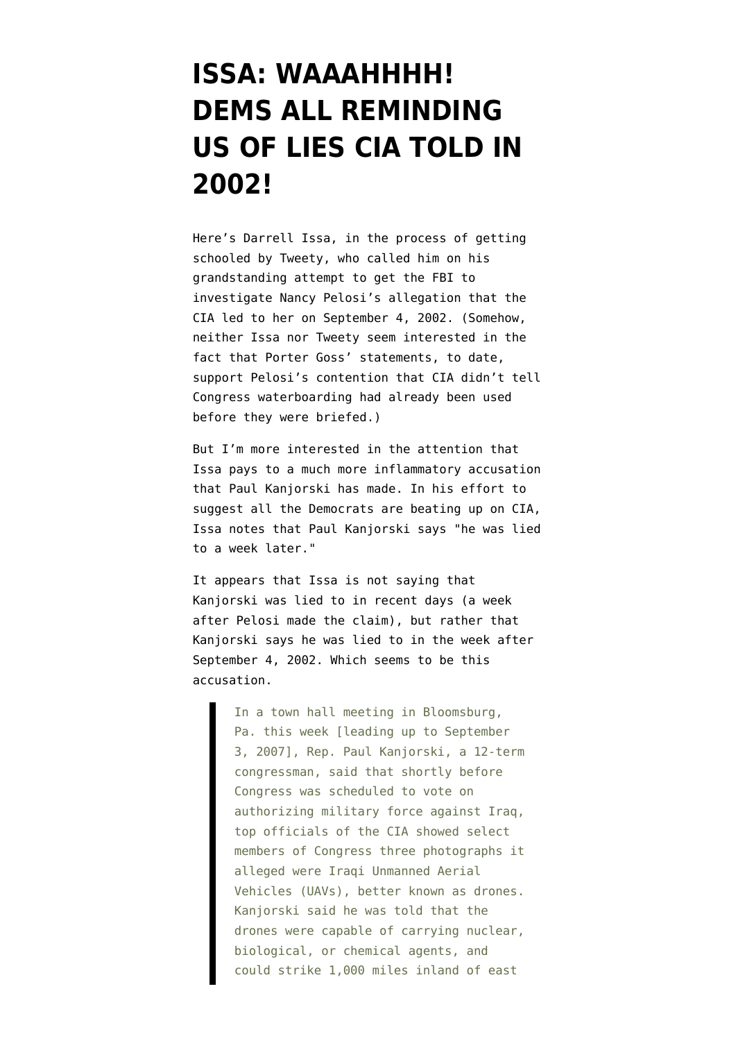## **[ISSA: WAAAHHHH!](https://www.emptywheel.net/2009/05/20/issa-waaahhhh-dems-all-reminding-us-of-lies-cia-told-in-2002/) [DEMS ALL REMINDING](https://www.emptywheel.net/2009/05/20/issa-waaahhhh-dems-all-reminding-us-of-lies-cia-told-in-2002/) [US OF LIES CIA TOLD IN](https://www.emptywheel.net/2009/05/20/issa-waaahhhh-dems-all-reminding-us-of-lies-cia-told-in-2002/) [2002!](https://www.emptywheel.net/2009/05/20/issa-waaahhhh-dems-all-reminding-us-of-lies-cia-told-in-2002/)**

Here's Darrell Issa, in the process of getting schooled by Tweety, who called him on his grandstanding attempt to get the FBI to investigate Nancy Pelosi's allegation that the CIA led to her on September 4, 2002. (Somehow, neither Issa nor Tweety seem interested in the fact that Porter Goss' statements, to date, [support](http://emptywheel.firedoglake.com/2009/04/25/porter-goss-attacks-on-pelosi-and-harman-but-admits-cia-broke-the-law/) Pelosi's contention that CIA didn't tell Congress waterboarding had already been used before they were briefed.)

But I'm more interested in the attention that Issa pays to a much more inflammatory accusation that Paul Kanjorski has made. In his effort to suggest all the Democrats are beating up on CIA, Issa notes that Paul Kanjorski says "he was lied to a week later."

It appears that Issa is not saying that Kanjorski was lied to in recent days (a week after Pelosi made the claim), but rather that Kanjorski says he was lied to in the week after September 4, 2002. Which seems to be [this](http://www.counterpunch.org/brasch09032007.html) [accusation.](http://www.counterpunch.org/brasch09032007.html)

> In a town hall meeting in Bloomsburg, Pa. this week [leading up to September 3, 2007], Rep. Paul Kanjorski, a 12-term congressman, said that shortly before Congress was scheduled to vote on authorizing military force against Iraq, top officials of the CIA showed select members of Congress three photographs it alleged were Iraqi Unmanned Aerial Vehicles (UAVs), better known as drones. Kanjorski said he was told that the drones were capable of carrying nuclear, biological, or chemical agents, and could strike 1,000 miles inland of east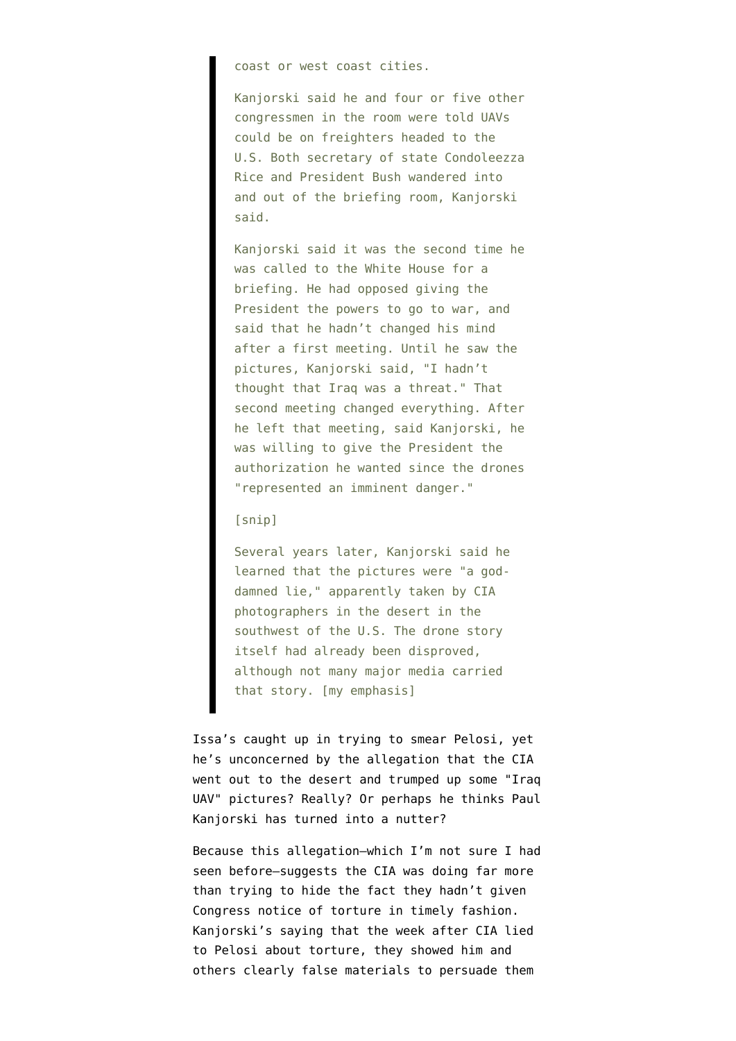coast or west coast cities.

Kanjorski said he and four or five other congressmen in the room were told UAVs could be on freighters headed to the U.S. Both secretary of state Condoleezza Rice and President Bush wandered into and out of the briefing room, Kanjorski said.

Kanjorski said it was the second time he was called to the White House for a briefing. He had opposed giving the President the powers to go to war, and said that he hadn't changed his mind after a first meeting. Until he saw the pictures, Kanjorski said, "I hadn't thought that Iraq was a threat." That second meeting changed everything. After he left that meeting, said Kanjorski, he was willing to give the President the authorization he wanted since the drones "represented an imminent danger."

## [snip]

Several years later, Kanjorski said he learned that the pictures were "a goddamned lie," apparently taken by CIA photographers in the desert in the southwest of the U.S. The drone story itself had already been disproved, although not many major media carried that story. [my emphasis]

Issa's caught up in trying to smear Pelosi, yet he's unconcerned by the allegation that the CIA went out to the desert and trumped up some "Iraq UAV" pictures? Really? Or perhaps he thinks Paul Kanjorski has turned into a nutter?

Because this allegation–which I'm not sure I had seen before–suggests the CIA was doing far more than trying to hide the fact they hadn't given Congress notice of torture in timely fashion. Kanjorski's saying that the week after CIA lied to Pelosi about torture, they showed him and others clearly false materials to persuade them